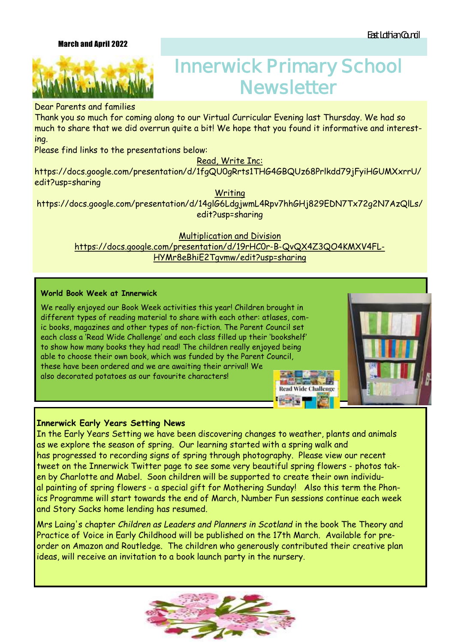## March and April 2022



# **Innerwick Primary School Newsletter**

## Dear Parents and families

Thank you so much for coming along to our Virtual Curricular Evening last Thursday. We had so much to share that we did overrun quite a bit! We hope that you found it informative and interesting.

Please find links to the presentations below:

# Read, Write Inc:

https://docs.google.com/presentation/d/1fgQU0gRrts1THG4GBQUz68Prlkdd79jFyiHGUMXxrrU/ edit?usp=sharing

**Writing** 

https://docs.google.com/presentation/d/14glG6LdgjwmL4Rpv7hhGHj829EDN7Tx72g2N7AzQlLs/ edit?usp=sharing

Multiplication and Division

https://docs.google.com/presentation/d/19rHC0r-B-QvQX4Z3QO4KMXV4FL-HYMr8eBhiE2Tgvmw/edit?usp=sharing

## **World Book Week at Innerwick**

We really enjoyed our Book Week activities this year! Children brought in different types of reading material to share with each other: atlases, comic books, magazines and other types of non-fiction. The Parent Council set each class a 'Read Wide Challenge' and each class filled up their 'bookshelf' to show how many books they had read! The children really enjoyed being able to choose their own book, which was funded by the Parent Council, these have been ordered and we are awaiting their arrival! We also decorated potatoes as our favourite characters!



ИF.

**Read Wide Challenge** 

**PERSON** 

## **Innerwick Early Years Setting News**

In the Early Years Setting we have been discovering changes to weather, plants and animals as we explore the season of spring. Our learning started with a spring walk and has progressed to recording signs of spring through photography. Please view our recent tweet on the Innerwick Twitter page to see some very beautiful spring flowers - photos taken by Charlotte and Mabel. Soon children will be supported to create their own individual painting of spring flowers - a special gift for Mothering Sunday! Also this term the Phonics Programme will start towards the end of March, Number Fun sessions continue each week and Story Sacks home lending has resumed.

Mrs Laing's chapter *Children as Leaders and Planners in Scotland* in the book The Theory and Practice of Voice in Early Childhood will be published on the 17th March. Available for preorder on Amazon and Routledge. The children who generously contributed their creative plan ideas, will receive an invitation to a book launch party in the nursery.